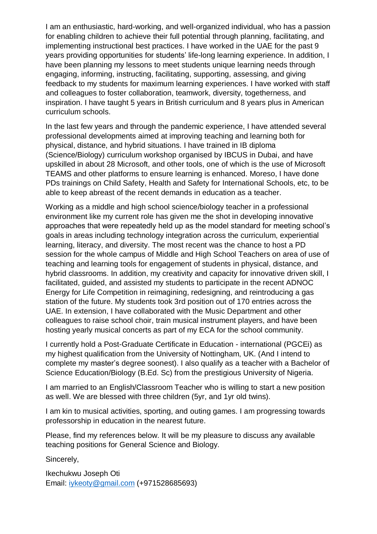I am an enthusiastic, hard-working, and well-organized individual, who has a passion for enabling children to achieve their full potential through planning, facilitating, and implementing instructional best practices. I have worked in the UAE for the past 9 years providing opportunities for students' life-long learning experience. In addition, I have been planning my lessons to meet students unique learning needs through engaging, informing, instructing, facilitating, supporting, assessing, and giving feedback to my students for maximum learning experiences. I have worked with staff and colleagues to foster collaboration, teamwork, diversity, togetherness, and inspiration. I have taught 5 years in British curriculum and 8 years plus in American curriculum schools.

In the last few years and through the pandemic experience, I have attended several professional developments aimed at improving teaching and learning both for physical, distance, and hybrid situations. I have trained in IB diploma (Science/Biology) curriculum workshop organised by IBCUS in Dubai, and have upskilled in about 28 Microsoft, and other tools, one of which is the use of Microsoft TEAMS and other platforms to ensure learning is enhanced. Moreso, I have done PDs trainings on Child Safety, Health and Safety for International Schools, etc, to be able to keep abreast of the recent demands in education as a teacher.

Working as a middle and high school science/biology teacher in a professional environment like my current role has given me the shot in developing innovative approaches that were repeatedly held up as the model standard for meeting school's goals in areas including technology integration across the curriculum, experiential learning, literacy, and diversity. The most recent was the chance to host a PD session for the whole campus of Middle and High School Teachers on area of use of teaching and learning tools for engagement of students in physical, distance, and hybrid classrooms. In addition, my creativity and capacity for innovative driven skill, I facilitated, guided, and assisted my students to participate in the recent ADNOC Energy for Life Competition in reimagining, redesigning, and reintroducing a gas station of the future. My students took 3rd position out of 170 entries across the UAE. In extension, I have collaborated with the Music Department and other colleagues to raise school choir, train musical instrument players, and have been hosting yearly musical concerts as part of my ECA for the school community.

I currently hold a Post-Graduate Certificate in Education - international (PGCEi) as my highest qualification from the University of Nottingham, UK. (And I intend to complete my master's degree soonest). I also qualify as a teacher with a Bachelor of Science Education/Biology (B.Ed. Sc) from the prestigious University of Nigeria.

I am married to an English/Classroom Teacher who is willing to start a new position as well. We are blessed with three children (5yr, and 1yr old twins).

I am kin to musical activities, sporting, and outing games. I am progressing towards professorship in education in the nearest future.

Please, find my references below. It will be my pleasure to discuss any available teaching positions for General Science and Biology.

Sincerely,

Ikechukwu Joseph Oti Email: [iykeoty@gmail.com](mailto:iykeoty@gmail.com) (+971528685693)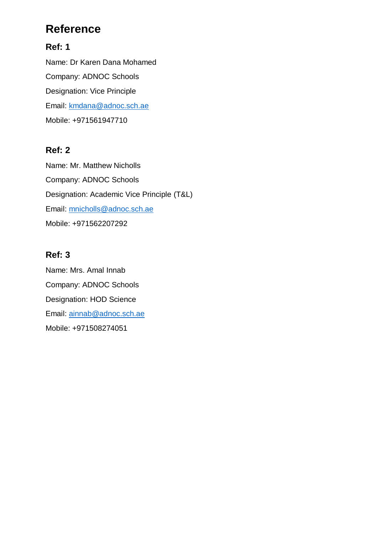# **Reference**

## **Ref: 1**

Name: Dr Karen Dana Mohamed Company: ADNOC Schools Designation: Vice Principle Email: [kmdana@adnoc.sch.ae](mailto:kmdana@adnoc.sch.ae) Mobile: +971561947710

## **Ref: 2**

Name: Mr. Matthew Nicholls Company: ADNOC Schools Designation: Academic Vice Principle (T&L) Email: [mnicholls@adnoc.sch.ae](mailto:mnicholls@adnoc.sch.ae) Mobile: +971562207292

# **Ref: 3**

Name: Mrs. Amal Innab Company: ADNOC Schools Designation: HOD Science Email: [ainnab@adnoc.sch.ae](mailto:ainnab@adnoc.sch.ae) Mobile: +971508274051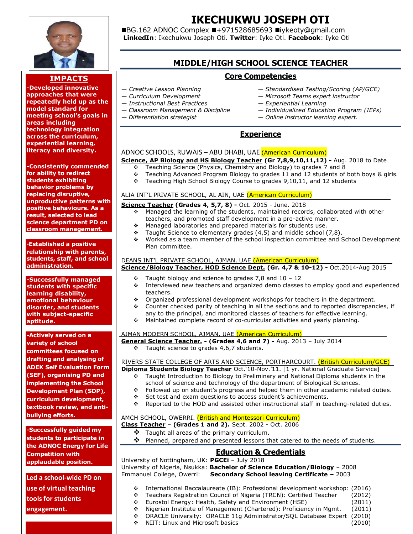

# **IMPACTS**

**-Developed innovative approaches that were repeatedly held up as the model standard for meeting school's goals in areas including technology integration across the curriculum, experiential learning, literacy and diversity.**

**-Consistently commended for ability to redirect students exhibiting behavior problems by replacing disruptive, unproductive patterns with positive behaviours. As a result, selected to lead science department PD on classroom management.**

**-Established a positive relationship with parents, students, staff, and school administration.**

**-Successfully managed students with specific learning disability, emotional behaviour disorder, and students with subject-specific aptitude.**

**-Actively served on a variety of school committees focused on drafting and analysing of ADEK Self Evaluation Form (SEF), organising PD and implementing the School Development Plan (SDP), curriculum development, textbook review, and antibullying efforts.**

**-Successfully guided my students to participate in the ADNOC Energy for Life Competition with applaudable position.**

**Led a school-wide PD on use of virtual teaching tools for students engagement.** 

# **IKECHUKWU JOSEPH OTI**

■BG.162 ADNOC Complex ■+971528685693 ■iykeoty@gmail.com **LinkedIn**: Ikechukwu Joseph Oti. **Twitter**: Iyke Oti. **Facebook**: Iyke Oti

## **MIDDLE/HIGH SCHOOL SCIENCE TEACHER**

### **Core Competencies**

- *— Creative Lesson Planning*
- *— Curriculum Development*
- *— Instructional Best Practices*
- *— Classroom Management & Discipline*
- *— Differentiation strategist*
- *— Standardised Testing/Scoring (AP/GCE)*
- *— Microsoft Teams expert instructor*
- *— Experiential Learning*
- *— Individualized Education Program (IEPs)*
- *— Online instructor learning expert.*

### **Experience**

#### ADNOC SCHOOLS, RUWAIS – ABU DHABI, UAE (American Curriculum)

**Science, AP Biology and HS Biology Teacher (Gr 7,8,9,10,11,12) -** Aug. 2018 to Date

- \* Teaching Science (Physics, Chemistry and Biology) to grades 7 and 8
- Teaching Advanced Program Biology to grades 11 and 12 students of both boys & girls.
- $\div$  Teaching High School Biology Course to grades 9,10,11, and 12 students

#### ALIA INT'L PRIVATE SCHOOL, AL AIN, UAE (American Curriculum)

#### **Science Teacher (Grades 4, 5,7, 8) -** Oct. 2015 - June. 2018

- Managed the learning of the students, maintained records, collaborated with other teachers, and promoted staff development in a pro-active manner.
- Managed laboratories and prepared materials for students use.
- $\div$  Taught Science to elementary grades (4,5) and middle school (7,8).
- Worked as a team member of the school inspection committee and School Development Plan committee.

#### DEANS INT'L PRIVATE SCHOOL, AJMAN, UAE (American Curriculum)

**Science/Biology Teacher, HOD Science Dept. (Gr. 4,7 & 10-12) -** Oct.2014-Aug 2015

- $\div$  Taught biology and science to grades 7,8 and 10 12
- Interviewed new teachers and organized demo classes to employ good and experienced teachers.
- Organized professional development workshops for teachers in the department.
- Counter checked parity of teaching in all the sections and to reported discrepancies, if
- any to the principal, and monitored classes of teachers for effective learning.
- Maintained complete record of co-curricular activities and yearly planning.

#### AJMAN MODERN SCHOOL, AJMAN, UAE (American Curriculum)

**General Science Teacher. - (Grades 4,6 and 7) -** Aug. 2013 – July 2014

 $\div$  Taught science to grades 4,6,7 students.

## RIVERS STATE COLLEGE OF ARTS AND SCIENCE, PORTHARCOURT. (British Curriculum/GCE)

- **Diploma Students Biology Teacher** Oct.'10-Nov.'11. [1 yr. National Graduate Service] Taught Introduction to Biology to Preliminary and National Diploma students in the school of science and technology of the department of Biological Sciences.
	- Followed up on student's progress and helped them in other academic related duties.
	- Set test and exam questions to access student's achievements.
	- Reported to the HOD and assisted other instructional staff in teaching-related duties.

#### AMCH SCHOOL, OWERRI. (British and Montessori Curriculum)

- **Class Teacher (Grades 1 and 2).** Sept. 2002 Oct. 2006
	- \* Taught all areas of the primary curriculum.
	- $\mathbf{\hat{P}}$  Planned, prepared and presented lessons that catered to the needs of students.

### **Education & Credentials**

University of Nottingham, UK: **PGCEi** – July 2018 University of Nigeria, Nsukka: **Bachelor of Science Education/Biology** – 2008 Emmanuel College, Owerri: **Secondary School leaving Certificate –** 2003

- International Baccalaureate (IB): Professional development workshop: (2016)
- Teachers Registration Council of Nigeria (TRCN): Certified Teacher (2012)
- Eurostol Energy: Health, Safety and Environment (HSE) (2011)
- Nigerian Institute of Management (Chartered): Proficiency in Mgmt. (2011)
- ORACLE University: ORACLE 11g Administrator/SQL Database Expert (2010)
- NIIT: Linux and Microsoft basics (2010)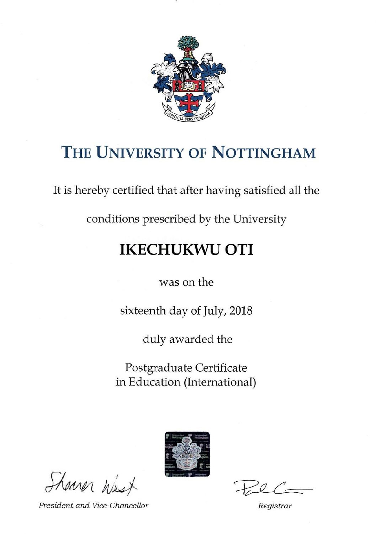

# THE UNIVERSITY OF NOTTINGHAM

It is hereby certified that after having satisfied all the

conditions prescribed by the University

# **IKECHUKWU OTI**

was on the

sixteenth day of July, 2018

duly awarded the

Postgraduate Certificate in Education (International)



heaver west

President and Vice-Chancellor

Registrar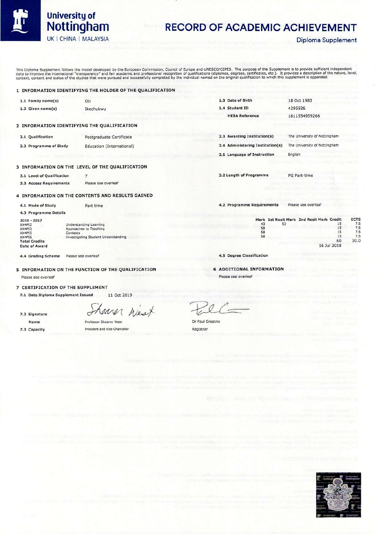

# University of<br>Nottingham UK | CHINA | MALAYSIA

# **RECORD OF ACADEMIC ACHIEVEMENT**

**Diploma Supplement** 

This Diploma Supplement follows the model developed by the European Commission, Council of Europe and UNESCO/CEPES. The purpose of the Supplement is to provide sufficient independent<br>data to improve the international "tran

#### 1 INFORMATION IDENTIFYING THE HOLDER OF THE QUALIFICATION

| 1.1 Family name(s)         | Oti                                           | 1.3 Date of Birth                | 18 Oct 1983                  |
|----------------------------|-----------------------------------------------|----------------------------------|------------------------------|
| 1.2 Given name(s)          | Ikechukwu                                     | 1.4 Student ID                   | 4295926                      |
|                            |                                               | <b>HESA Reference</b>            | 1611554959266                |
|                            | 2 INFORMATION IDENTIFYING THE QUALIFICATION   |                                  |                              |
| 2.1 Qualification          | Postgraduate Certificate                      | 2.3 Awarding Institution(s)      | The University of Nottingham |
| 2.2 Programme of Study     | Education (International)                     | 2.4 Administering Institution(s) | The University of Nottingham |
|                            |                                               | 2.5 Language of Instruction      | English                      |
|                            | INFORMATION ON THE LEVEL OF THE QUALIFICATION |                                  |                              |
| 3.1 Level of Qualification |                                               | 3.2 Length of Programme          | PG Part-time                 |
|                            |                                               |                                  |                              |

#### 3.3 Access Requirements Please see overleaf

#### 4 INFORMATION ON THE CONTENTS AND RESULTS GAINED

4.1 Mode of Study Part time 4.3 Programme Details  $2016 - 2017$ XX4PI2<br>XX4PI3 XX4PI5<br>XX4PI6<br>Total Credits Contexts

Date of Award

7.2 Signature

Name

7.3 Capacity

Understanding Learning Approaches to Teaching Investigating Student Understanding

4.4 Grading Scheme Please see overleaf

5 INFORMATION ON THE FUNCTION OF THE QUALIFICATION Please see overleaf

#### 7 CERTIFICATION OF THE SUPPLEMENT

7.1 Date Diploma Supplement Issued 11 Oct 2019

Carer West Professor Shearer West

President and Vice-Chancellor

Registrar

Mark 1st Resit Mark 2nd Resit Mark Credit 43<br>58<br>58 53 58

Please see overleaf

**ECTS**  $7.5$ <br> $7.5$ <br> $7.5$ <br> $7.5$  $30.0$ 

 $15$ <br> $15$ <br> $15$ <br> $15$ 

60

16 Jul 2018

4.5 Degree Classification

4.2 Programme Requirements

**6 ADDITIONAL INFORMATION** Please see overleaf

Dr Paul Greatrix